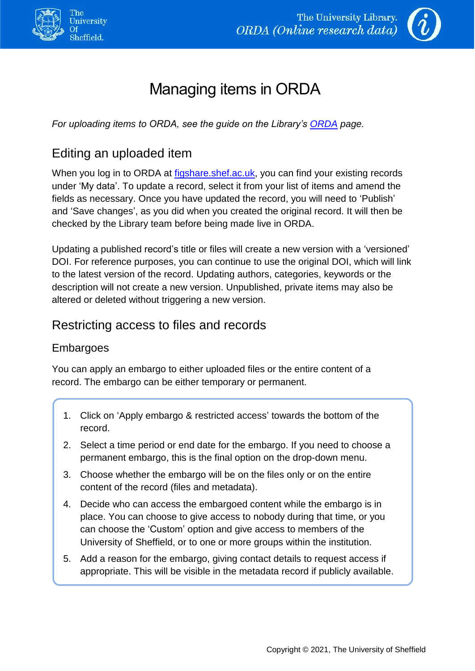



# Managing items in ORDA

*For uploading items to ORDA, see the guide on the Library's [ORDA](https://www.sheffield.ac.uk/library/rdm/orda) page.*

### Editing an uploaded item

When you log in to ORDA at [figshare.shef.ac.uk,](https://figshare.shef.ac.uk/) you can find your existing records under 'My data'. To update a record, select it from your list of items and amend the fields as necessary. Once you have updated the record, you will need to 'Publish' and 'Save changes', as you did when you created the original record. It will then be checked by the Library team before being made live in ORDA.

Updating a published record's title or files will create a new version with a 'versioned' DOI. For reference purposes, you can continue to use the original DOI, which will link to the latest version of the record. Updating authors, categories, keywords or the description will not create a new version. Unpublished, private items may also be altered or deleted without triggering a new version.

### Restricting access to files and records

### Embargoes

You can apply an embargo to either uploaded files or the entire content of a record. The embargo can be either temporary or permanent.

- 1. Click on 'Apply embargo & restricted access' towards the bottom of the record.
- 2. Select a time period or end date for the embargo. If you need to choose a permanent embargo, this is the final option on the drop-down menu.
- 3. Choose whether the embargo will be on the files only or on the entire content of the record (files and metadata).
- 4. Decide who can access the embargoed content while the embargo is in place. You can choose to give access to nobody during that time, or you can choose the 'Custom' option and give access to members of the University of Sheffield, or to one or more groups within the institution.
- 5. Add a reason for the embargo, giving contact details to request access if appropriate. This will be visible in the metadata record if publicly available.